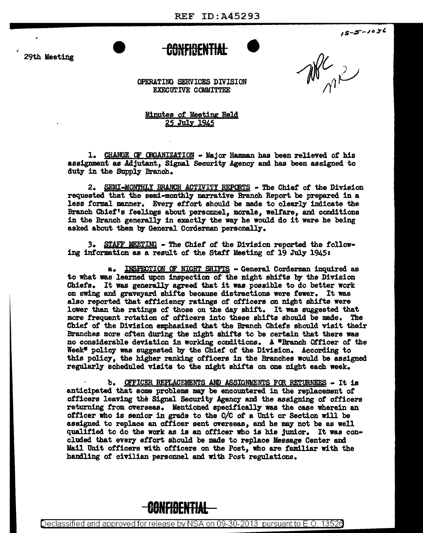**CONFIDENTIAL** •

 $15 - 5 - 1036$ 

29th Meeting

 $\mathbb{N}$ 

OPERATING SERVICES DIVISION EXECUTIVE COMMITTEE

Minutes of Meeting Held 25 Ju].y 1945

1. CHANGE OF CRGANIZATION - Major Hamman has been relieved of his assignment as Adjutant, Signal Security Agency and has been assigned to duty in the SUpply Branch.

2. SEMI-MONTHLY BRANCH ACTIVITY REPORTS - The Chief of the Division requested that the semi-monthly narrative Branch Report be prepared in a less formal manner. Every effort should be made to clearly indicate the Branch Chief's feelings about personnel, morale, welfare, and conditions in the Branch generally in exactly the way he would do it were he being asked about them by General Corderman personally •

3. STAFF MEETING - The Chief of the Division reported the following intormtion as a result of the Staff Meeting of 19 July 1945:

a. INSPECTION OF NIGHT SHIFTS - General Corderman inquired as to what was learned upon inspection of the night shifts by the Division Chiefs. It was generally agreed that it was possible to do better work on swing and graveyard shirts because distractions were fewer. It was also reported that efficiency ratings of officers on night shirts were lower than the ratings of those on the day shift. It was suggested that more frequent rotation of officers into these shirts should be made. The Chief *ot* the Division emphasized that the Branch Chiefs should visit their Branches more often during the night shirts to be certain that there was no considerable deviation in working conditions. A "Branch Officer of the Week<sup>\*</sup> policy was suggested by the Chief of the Division. According to this policy, the higher ranking officers in the Branches would be assigned regularly scheduled visits to the night shirts on one night each week.

b. OFFICER REPLACEMENTS AND ASSIGNMENTS FCR RETURNEES - It is anticipated that some problems may be encountered in the replacement of officers leaving the Signal Security Agency and the assigning of officers returning from overseas. Mentioned specifically was the case wherein an officer who is senior in grade to the O/C of a Unit or Section will be assigned to replace an officer sent overseas, and he may- not be as well qualified to do the work as is an officer who is his junior. It was concluded that every effort should be made to replace Message Center and Mail Unit officers with officers on the Post, who are familiar with the handling of civilian personnel and with Post regulations.